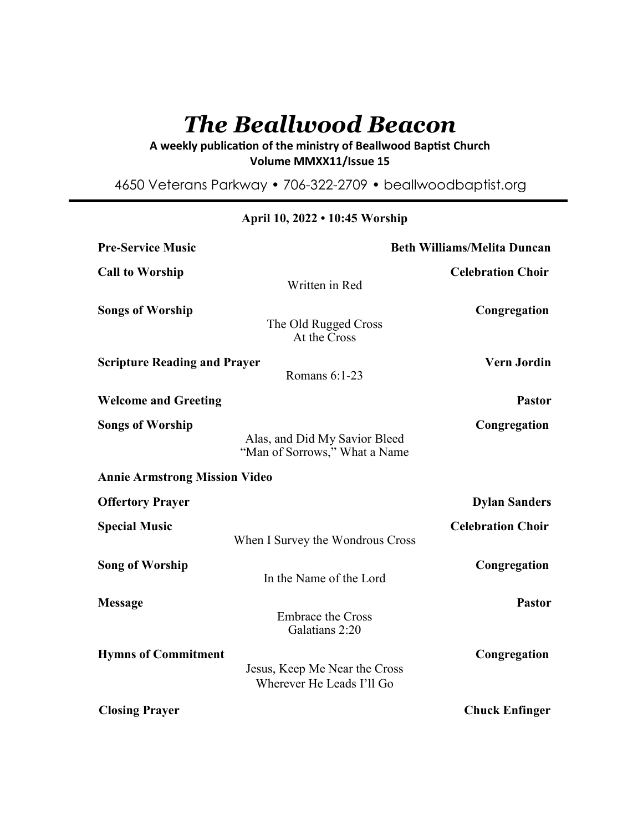# *The Beallwood Beacon*

A weekly publication of the ministry of Beallwood Baptist Church **Volume MMXX11/Issue 15** 

4650 Veterans Parkway • 706-322-2709 • beallwoodbaptist.org

| <b>Pre-Service Music</b>             | <b>Beth Williams/Melita Duncan</b>                             |                          |
|--------------------------------------|----------------------------------------------------------------|--------------------------|
| <b>Call to Worship</b>               | Written in Red                                                 | <b>Celebration Choir</b> |
| <b>Songs of Worship</b>              | The Old Rugged Cross<br>At the Cross                           | Congregation             |
| <b>Scripture Reading and Prayer</b>  | Romans 6:1-23                                                  | <b>Vern Jordin</b>       |
| <b>Welcome and Greeting</b>          |                                                                | <b>Pastor</b>            |
| <b>Songs of Worship</b>              | Alas, and Did My Savior Bleed<br>"Man of Sorrows," What a Name | Congregation             |
| <b>Annie Armstrong Mission Video</b> |                                                                |                          |
| <b>Offertory Prayer</b>              |                                                                | <b>Dylan Sanders</b>     |
| <b>Special Music</b>                 | When I Survey the Wondrous Cross                               | <b>Celebration Choir</b> |
| <b>Song of Worship</b>               | In the Name of the Lord                                        | Congregation             |
| <b>Message</b>                       | <b>Embrace the Cross</b><br>Galatians 2:20                     | <b>Pastor</b>            |
| <b>Hymns of Commitment</b>           | Jesus, Keep Me Near the Cross<br>Wherever He Leads I'll Go     | Congregation             |
| <b>Closing Prayer</b>                |                                                                | <b>Chuck Enfinger</b>    |

# **April 10, 2022 • 10:45 Worship**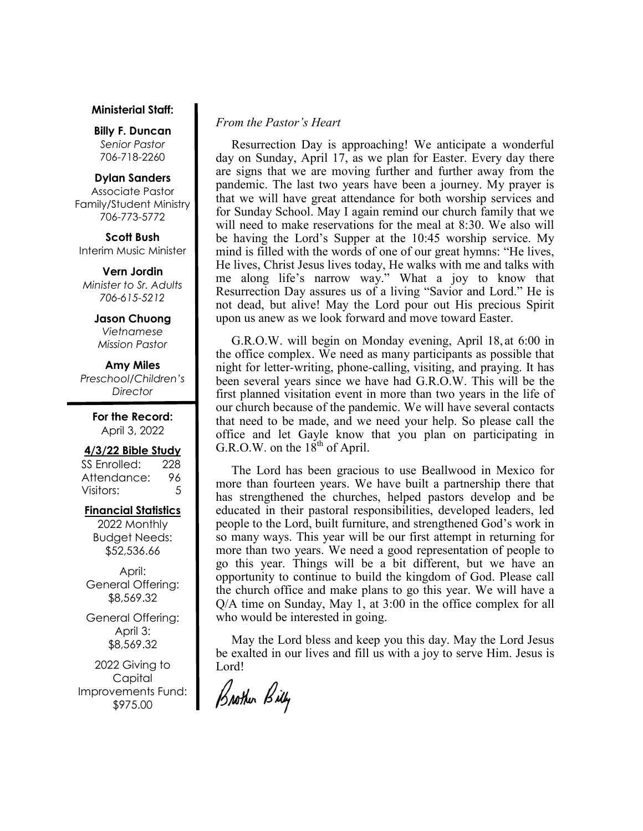#### **Ministerial Staff:**

**Billy F. Duncan** *Senior Pastor*  706-718-2260

#### **Dylan Sanders**

Associate Pastor Family/Student Ministry 706-773-5772

**Scott Bush**  Interim Music Minister

**Vern Jordin** *Minister to Sr. Adults 706-615-5212* 

> **Jason Chuong**  *Vietnamese Mission Pastor*

**Amy Miles** *Preschool/Children's Director* 

> **For the Record:**  April 3, 2022

#### **4/3/22 Bible Study**

SS Enrolled: 228 Attendance: 96 Visitors: 5

# **Financial Statistics**

2022 Monthly Budget Needs: \$52,536.66

April: General Offering: \$8,569.32

General Offering: April 3: \$8,569.32

2022 Giving to Capital Improvements Fund: \$975.00

# *From the Pastor's Heart*

 Resurrection Day is approaching! We anticipate a wonderful day on Sunday, April 17, as we plan for Easter. Every day there are signs that we are moving further and further away from the pandemic. The last two years have been a journey. My prayer is that we will have great attendance for both worship services and for Sunday School. May I again remind our church family that we will need to make reservations for the meal at 8:30. We also will be having the Lord's Supper at the 10:45 worship service. My mind is filled with the words of one of our great hymns: "He lives, He lives, Christ Jesus lives today, He walks with me and talks with me along life's narrow way." What a joy to know that Resurrection Day assures us of a living "Savior and Lord." He is not dead, but alive! May the Lord pour out His precious Spirit upon us anew as we look forward and move toward Easter.

 G.R.O.W. will begin on Monday evening, April 18, at 6:00 in the office complex. We need as many participants as possible that night for letter-writing, phone-calling, visiting, and praying. It has been several years since we have had G.R.O.W. This will be the first planned visitation event in more than two years in the life of our church because of the pandemic. We will have several contacts that need to be made, and we need your help. So please call the office and let Gayle know that you plan on participating in G.R.O.W. on the  $18<sup>th</sup>$  of April.

 The Lord has been gracious to use Beallwood in Mexico for more than fourteen years. We have built a partnership there that has strengthened the churches, helped pastors develop and be educated in their pastoral responsibilities, developed leaders, led people to the Lord, built furniture, and strengthened God's work in so many ways. This year will be our first attempt in returning for more than two years. We need a good representation of people to go this year. Things will be a bit different, but we have an opportunity to continue to build the kingdom of God. Please call the church office and make plans to go this year. We will have a Q/A time on Sunday, May 1, at 3:00 in the office complex for all who would be interested in going.

 May the Lord bless and keep you this day. May the Lord Jesus be exalted in our lives and fill us with a joy to serve Him. Jesus is Lord!

Brother Billy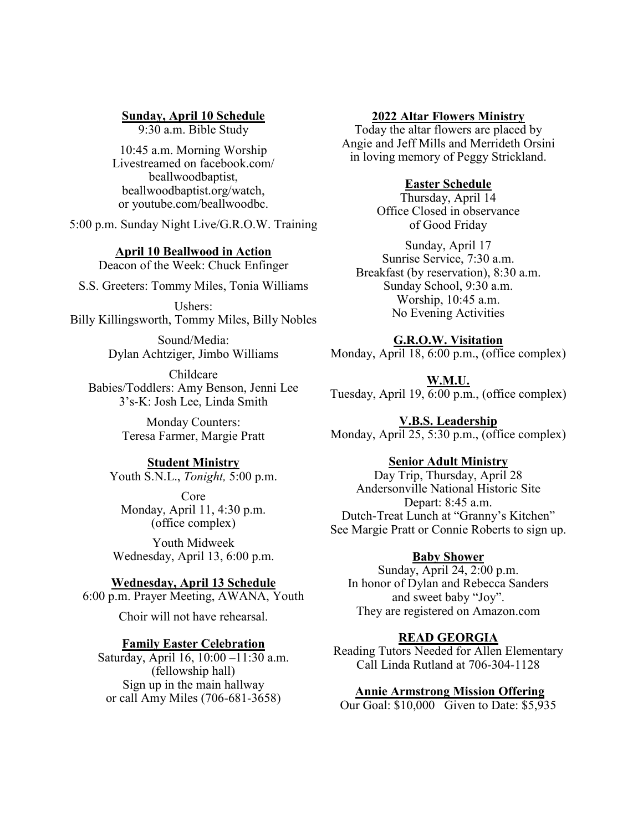# **Sunday, April 10 Schedule**

9:30 a.m. Bible Study

10:45 a.m. Morning Worship Livestreamed on facebook.com/ beallwoodbaptist, beallwoodbaptist.org/watch, or youtube.com/beallwoodbc.

5:00 p.m. Sunday Night Live/G.R.O.W. Training

#### **April 10 Beallwood in Action**

Deacon of the Week: Chuck Enfinger

S.S. Greeters: Tommy Miles, Tonia Williams

Ushers: Billy Killingsworth, Tommy Miles, Billy Nobles

> Sound/Media: Dylan Achtziger, Jimbo Williams

Childcare Babies/Toddlers: Amy Benson, Jenni Lee 3's-K: Josh Lee, Linda Smith

> Monday Counters: Teresa Farmer, Margie Pratt

## **Student Ministry**

Youth S.N.L., *Tonight,* 5:00 p.m.

Core Monday, April 11, 4:30 p.m. (office complex)

Youth Midweek Wednesday, April 13, 6:00 p.m.

## **Wednesday, April 13 Schedule**

6:00 p.m. Prayer Meeting, AWANA, Youth

Choir will not have rehearsal.

#### **Family Easter Celebration**

Saturday, April 16, 10:00 –11:30 a.m. (fellowship hall) Sign up in the main hallway or call Amy Miles (706-681-3658)

#### **2022 Altar Flowers Ministry**

Today the altar flowers are placed by Angie and Jeff Mills and Merrideth Orsini in loving memory of Peggy Strickland.

## **Easter Schedule**

Thursday, April 14 Office Closed in observance of Good Friday

Sunday, April 17 Sunrise Service, 7:30 a.m. Breakfast (by reservation), 8:30 a.m. Sunday School, 9:30 a.m. Worship, 10:45 a.m. No Evening Activities

#### **G.R.O.W. Visitation**

Monday, April 18, 6:00 p.m., (office complex)

**W.M.U.** Tuesday, April 19, 6:00 p.m., (office complex)

**V.B.S. Leadership** Monday, April 25, 5:30 p.m., (office complex)

#### **Senior Adult Ministry**

Day Trip, Thursday, April 28 Andersonville National Historic Site Depart: 8:45 a.m. Dutch-Treat Lunch at "Granny's Kitchen" See Margie Pratt or Connie Roberts to sign up.

## **Baby Shower**

Sunday, April 24, 2:00 p.m. In honor of Dylan and Rebecca Sanders and sweet baby "Joy". They are registered on Amazon.com

#### **READ GEORGIA**

Reading Tutors Needed for Allen Elementary Call Linda Rutland at 706-304-1128

#### **Annie Armstrong Mission Offering**

Our Goal: \$10,000 Given to Date: \$5,935